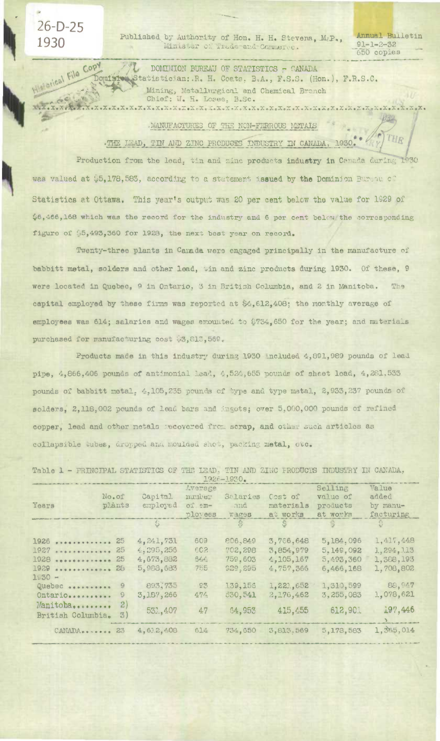Published by Authority of Hon. H. H. Stevens, M&P., Minister of Trade and Commerce.

 $26-D-25$ 

**History File Copy** 

1930

画

Annual Builetin  $91 - 1 - 2 - 32$ 650 copies

 $\mu_{\rm eff}$ 

THR

DOMINION BUREAU OF STATISTICS - CANADA Dominion Statistician: R. H. Coats, B.A., F.S.S. (Hon.), F.R.S.C. Mining, Metallurgical and Chemical Branch 

## MANUFACTURES OF THE NON-FERROUS METALS

. THE LEAD, TIN AND ZINC PRODUCES INDUSTRY IN CANADA, 1930.

Production from the lead, tin and zinc products industry in Canada during 1930 was valued at \$5,178,583, according to a statement issued by the Dominion Burdau of Statistics at Ottawa. This year's output was 20 per cent below the value for 1929 of \$6,466,168 which was the record for the industry and 6 per cent below the corresponding figure of \$5,493,360 for 1928, the next best year on record.

Twenty-three plants in Camada were engaged principally in the manufacture of babbitt metal, solders and other lead, tin and zinc products during 1930. Of these, 9 were located in Quebec, 9 in Ontario, 3 in British Columbia, and 2 in Manitoba. The capital employed by these firms was reported at \$4,612,408; the monthly average of employees was 614; salaries and wages amounted to \$734,650 for the year; and materials purchased for manufacturing cost \$3,813,569.

Products made in this industry during 1930 included 4,891,989 pounds of lead pipe, 4,866,406 pounds of antimonial lead, 4,524,655 pounds of sheet lead, 4,281,533 pounds of babbitt metal. 4,105,235 pounds of type and type metal, 2,933,237 pounds of solders, 2,118,002 pounds of lead bars and ingots; over 5,000,000 pounds of refined copper, lead and other metals recovered from scrap, and other such articles as collapsible tubes, dropped and moulded shot, packing metal, etc.

Table 1 - PRINCIPAL STATISTICS OF THE LEAD, TIN AND ZINC FRODUCTS INDUSTRY IN CANADA,

|                     |                  |           |          | $-1920 - 1900$ |           |              |                |
|---------------------|------------------|-----------|----------|----------------|-----------|--------------|----------------|
|                     |                  |           | Average  |                |           | Selling      | Value          |
|                     | No.of            | Capital   | number   | Salaries       | Cost of   | value of     | added          |
| Years               | plânts           | employed  | $of cm-$ | and            | materials | products     | by manu-       |
|                     |                  |           | ployees  | Wages          | at works  | at works     | facturing      |
|                     |                  | \$        |          | $\mathbb{S}$   | S.        | $\mathbb{R}$ | $\ddot{\circ}$ |
| $1926$ $$           | 25               | 4,241,731 | 609      | 806,849        | 3,766,648 | 5,184,096    | 1,417,448      |
| $1927$              | 25               | 4,295,256 | 602      | 702,298        | 3,854,979 | 5.149,092    | 1, 294, 113    |
| 1928<br>----------- | 25               | 4,673,882 | 54.6     | 759,603        | 4,105,167 | 5,493,360    | 1,388,193      |
| $1929$ $$           | 28               | 5,988,683 | 755      | 029,295        | 4,757,366 | 6,466,168    | 1,708,802      |
| $1530 -$            |                  |           |          |                |           |              |                |
| Quebec              | 9                | 893,735   | C3       | 139,156        | 1,221,652 | 1,310,599    | 88,947         |
| Ontario             | 9                | 3,187,266 | 474      | 530,541        | 2,176,462 | 3,255,083    | 1,078,621      |
| Manitoba            | $\mathbf{2}$     |           |          |                |           |              |                |
| British Columbia.   | $\mathfrak{B}$ ) | 531,407   | 47       | 64,953         | 415.455   | 612,901      | 197,446        |
|                     |                  |           |          |                |           |              |                |
| CANADA 23           |                  | 4,612,408 | 614      | 734,650        | 3,813.569 | 5,178,583    | 1,365,014      |
|                     |                  |           |          |                |           |              |                |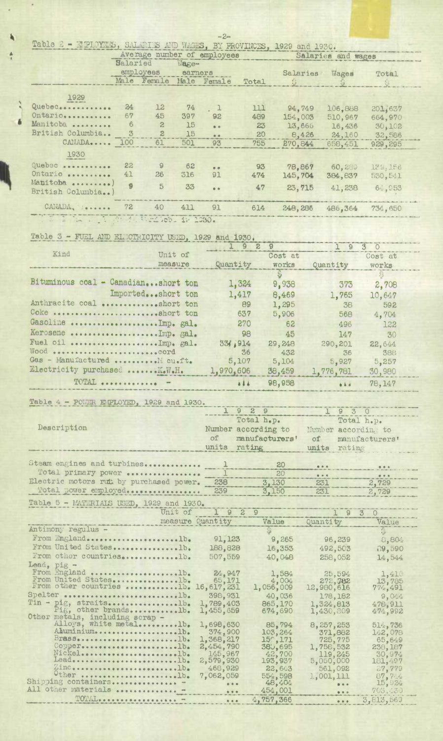|                                                                      |  | $-2-$ |  |  |
|----------------------------------------------------------------------|--|-------|--|--|
| Table 2 - MPLOYEES, SALERIES AND WACES, BY PROVINCES, 1929 and 1930. |  |       |  |  |

|                            | wheree number of subrovees |                         |         |                                   |       | Salaries and wages |              |         |  |
|----------------------------|----------------------------|-------------------------|---------|-----------------------------------|-------|--------------------|--------------|---------|--|
|                            | Salaried<br>Wage-          |                         |         |                                   |       |                    |              |         |  |
|                            |                            | employees               | earners |                                   |       | Salaries           | Wages        | Total   |  |
|                            |                            | Male Female             | Male    | Female                            | Total |                    | $\mathbb{S}$ |         |  |
|                            |                            |                         |         |                                   |       |                    |              |         |  |
| 1929                       |                            |                         |         |                                   |       |                    |              |         |  |
| Quebec                     | 24                         | 12                      | 74      | $\begin{array}{cc} 1 \end{array}$ | 111   | 94,749             | 106,888      | 201,637 |  |
| Ontario                    | 67                         | 45                      | 397     | 92                                | 489   | 154,003            | 510,967      | 664,970 |  |
| Manitoba                   | 6                          | 2                       | 15      | $6 - 6$                           | 23    | 13,666             | 16,436       | 30,102  |  |
| British Columbia           | 3                          | $\mathbf{2}$            | 15      | $\bullet$ $\bullet$               | 20    | 8,426              | 24,160       | 32,586  |  |
| CANADA 100                 |                            | 61                      | 501     | 93                                | 755   | 270,844            |              |         |  |
|                            |                            |                         |         |                                   |       |                    | 658,451      | 929,295 |  |
| 1930                       |                            |                         |         |                                   |       |                    |              |         |  |
| Quebec                     | 22                         | 9                       | 62      | $\bullet$ $\bullet$               | 93    | 78,867             | 60,289       | 179.156 |  |
| Ontario                    | 41                         | 26                      | 316     | 91                                | 474   | 145,704            | 384,837      | 530,541 |  |
| Manitoha )                 | g                          |                         |         |                                   |       |                    |              |         |  |
| British Columbia)          |                            | 5                       | 33      | $\bullet$                         | 47    | 23,715             | 41,238       | 64,953  |  |
|                            |                            |                         |         |                                   |       |                    |              |         |  |
| CANADA, I.                 | 72                         | 40                      | 411     | 91                                | 614   | 248,286            | 486,364      | 734,650 |  |
| $\mathcal{R}^{\text{max}}$ |                            | the dealership de total |         |                                   |       |                    |              |         |  |

# Table 3 - FUEL AND ELECTRICITY USED, 1929 and 1930.

×

|                                     |                   | 9         | 29           | $\Omega$  | 30            |  |
|-------------------------------------|-------------------|-----------|--------------|-----------|---------------|--|
| Kind                                | Unit of           |           | Cost at      |           | Cost at       |  |
|                                     | measure           | Quantity  | <b>WOTK8</b> | Quantity  | works         |  |
|                                     |                   |           |              |           | $\frac{5}{2}$ |  |
| Bituminous coal - Canadianshort ton |                   | 1,324     | 9,938        | 373       | 2,708         |  |
|                                     | Importedshort ton | 1,417     | 8,469        | 1,765     | 10.647        |  |
| Anthracite coal short ton           |                   | 89        | 1,295        | -38       | 592           |  |
| Coke short ton                      |                   | 637       | 5,906        | 568       | 4,704         |  |
| Gasoline Imp. gal.                  |                   | 270       | 62           | 496       | 122           |  |
| Kerosene  Imp. gal.                 |                   | 98        | 45           | 147       | 30            |  |
|                                     |                   | 33 914    | 29,248       | 290,201   | 22,644        |  |
|                                     |                   | 36        | 432          | 36        | 388           |  |
| Gas - Manufactured  Mi cu.ft.       |                   | 5,107     | 5,104        | 5,927     | 5,257         |  |
| Electricity purchased  K.W.H.       |                   | 1,970,606 | 38,459       | 1,776,781 | 30,980        |  |
| TOTAL  -                            |                   | 114       | 98,958       | 44.4      | 78.147        |  |

Table 4 - POWER ETPLOYED, 1929 and 1930.

|                            |    | Total h.p.          |           | Total h.p.          |  |
|----------------------------|----|---------------------|-----------|---------------------|--|
| Description                |    | Number according to |           | Number according to |  |
|                            | of | manufacturers'      |           | of manufacturers'   |  |
|                            |    | units rating        |           | units rating        |  |
|                            |    |                     |           |                     |  |
| Steam engines and turbines |    | 20                  | $- - - -$ | 0.0.0               |  |
| Total primary power        |    | 20                  | $- 0.00$  |                     |  |

| Electric motors rut by purchased power.            | 238 | 3.130 | 231 | 2.729 |
|----------------------------------------------------|-----|-------|-----|-------|
|                                                    |     |       |     |       |
|                                                    |     |       |     |       |
| Total power employed 239                           |     | 3.150 | 231 | 2.729 |
|                                                    |     |       |     |       |
| $theta = 1 + E$ <i>MARTINTATA TRUE 1000 - 1000</i> |     |       |     |       |

Table 5 - MATERIAIS USED, 1929 and 1930.

|                                                           | Unit of 1 9 2 9                                                                           |                   | 1930                   |                    |
|-----------------------------------------------------------|-------------------------------------------------------------------------------------------|-------------------|------------------------|--------------------|
|                                                           | measure Quantity                                                                          | Value             | Quantity               | Value              |
| Antimony regulus -                                        |                                                                                           |                   |                        |                    |
| From England  lb.                                         | 91, 123                                                                                   | 9,265             | 96,239                 | 8,804              |
| From United States1b.                                     | 188,828                                                                                   | 16,353            | 492,503                | 19,590             |
| From other countriesb.                                    | 507,559                                                                                   | 40,048            | 258,052                | 14,544             |
|                                                           |                                                                                           |                   |                        |                    |
| Lead, pig -<br>From England lb. 24,947                    |                                                                                           | 1,584             | 25,594                 | 1,410              |
| From United States                                        | 65,171                                                                                    | 4.004             | 272,782                | 13,785             |
| From other countries 1b. 16,617,231                       |                                                                                           | 1,056,009         | 12,980,616             | $77\frac{1}{2}491$ |
| Spelter D.                                                | 398,931                                                                                   | 40,036            | 178, 182               | 9,044              |
| Tin - pig, straits1b.                                     | 1,789,403                                                                                 | 865,170           | 1,324,813              | 478,911            |
| Pig, other brandslb.                                      | 1,455,659                                                                                 | 674,690           | 1,430,809              | 474,992            |
| Other metals, including scrap -<br>Alloys, white metallb. | 1,698,630                                                                                 |                   |                        |                    |
| AhuminiumD.                                               | 374,900                                                                                   | 85,794<br>103,264 | 8, 257, 253<br>371,882 | 514,736<br>142,078 |
| Brass                                                     | 1,368,217                                                                                 | $15^\circ, 171$   | 725,775                | 65,649             |
| Copper                                                    | 2,454,790                                                                                 | 380,695           | 1,758,532              | 238, 187           |
| Nickelss D.                                               | 145,967                                                                                   | 42,700            | 119,245                | 30,974             |
| Lead D.                                                   | 2,579,930                                                                                 | 193,937           | 5,050,000              | 181,497            |
| ZincD.                                                    | 468,929                                                                                   | 22,643            | 561,092                | 27,779             |
| Other D.                                                  | 7,062,059                                                                                 | 554,598           | 1,001,111              | 87, 7.4            |
| Shipping containers<br>All other materials                | $\begin{array}{c c} \hline \textbf{a} & \textbf{a} & \textbf{b} & \textbf{a} \end{array}$ | 48,404            | 0.0001                 | 15,924             |
|                                                           | $0.9 - 0.$                                                                                | 454,001           | 0.00                   | 705,430            |
|                                                           | $8.4 - 4.$                                                                                | 4,757,366         | 0.0.0                  | 3,813,569          |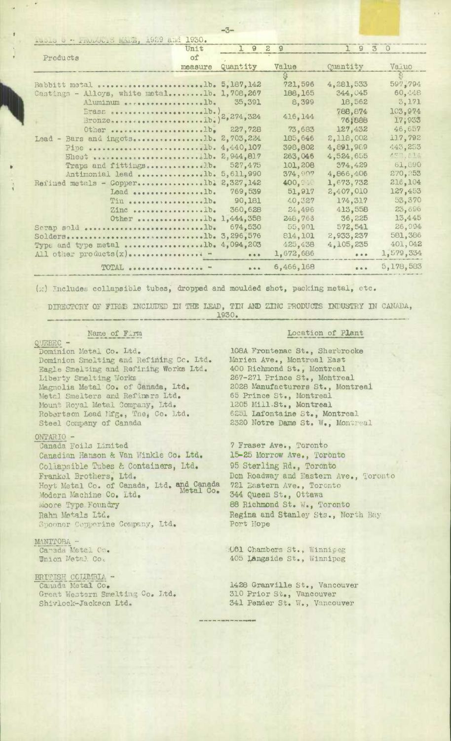| Luble o - Intertio Marie, 1929 and 1950.     |         |                         |           |                               |              |
|----------------------------------------------|---------|-------------------------|-----------|-------------------------------|--------------|
|                                              | Unit    | $1 \theta$              | 29        | 1930                          |              |
| Products                                     | of      |                         |           |                               |              |
|                                              | measure | Quantity                | Value     | Quantity                      | Valuo        |
|                                              |         |                         |           |                               | $\mathbb{S}$ |
|                                              |         |                         | 721,596   | 4, 281, 533                   | 597,794      |
| Castings - Alloys, white metallb. 1,708,267  |         |                         | 188, 165  | 344,045                       | 60,448       |
| Aluminum 1b. 35,391                          |         |                         | 8,399     | 18,562                        | 3,171        |
|                                              |         |                         |           | 788,874                       | 103,974      |
| Erass 1b.) 2,274,324                         |         |                         | 416, 144  | 76,888                        | 17,933       |
| Other 1b, 227,728                            |         |                         | 73,683    | 127,432                       | 46,657       |
| Lead - Bars and ingots 2,703,224             |         |                         | 185,646   | 2,118,002                     | 117,792      |
| Pipe 1b. $4,440,107$                         |         |                         | 398,802   | 4,891,989                     | 443,253      |
| Sheet 1b. 2,944,817                          |         |                         | 263,046   | 4,524,655                     |              |
| Traps and fittingsD.                         |         | 527,475                 | 101,208   | 374,429                       | 61,890       |
| Antimonial lead 1b. 5,611,990                |         |                         | 374,907   | 4,866,406                     | 270, 253     |
| Refined metals - Copper1bl $2,527,142$       |         |                         | 400, Seit | 1,673,732                     | 216,104      |
| Lead lb.                                     |         | 769,539                 | 51,917    | 2,407,010                     | 127,453      |
| Tin lb. 90,181                               |         |                         | 40,327    | 174,317                       | 53,370       |
| $Zinc$ b.                                    |         | 360,628                 | 24,496    | 413,558                       | 23,696       |
| Other 1b. 1,444,358                          |         |                         | 248,763   | 36,225                        | 13,445       |
| Sorap sold D.                                |         | 674,530                 | 55,901    | 572,541                       | 26,994       |
| Soldersb. 3,296,576                          |         |                         | 814, 101  | 2,933,237                     | 581,386      |
| Type and type metal 1b. $4,094,203$          |         |                         | 425,438   | 4,105,235                     | 401,042      |
| All other products $(x)$                     |         | $\bullet\bullet\bullet$ | 1,672,686 | $8 - 8 - 8$                   | 1,579,334    |
| <b>TOTAL</b><br><b><i><u><u></u></u></i></b> |         | $\frac{1}{2}$           | 6,466,168 | $\bullet$ $\bullet$ $\bullet$ | 5,178,583    |

ŗХ,

(x) Includes collapsible tubes, dropped and moulded shot, packing metal, etc.

DIRECTORY OF FIRMS INCLUDED IN THE LEAD, TIN AND ZINC PRODUCTS INDUSTRY IN CANADA, 1930.

Name of Firm

QUEBEC -

Dominion Metal Co. Ltd. Dominion Smelting and Refining Cc. Ltd. Eagle Smelting and Refining Works Ltd. Liberty Smelting Works Magnolia Metal Co. of Canada, Ltd. Metal Smelters and Refiners Ltd.<br>Mount Royal Metal Company, Ltd.<br>Robertson Lead Mfg., The, Co. Ltd. Steel Company of Canada

### ONTARIO -

Canada Foils Limited Canadian Hanson & Van Winkle Co. Ltd. Collapsible Tubes & Containers, Ltd. Frankel Brothers, Ltd. Hoyt Metal Co. of Canada, Ltd. and Canada Modern Machine Co. Ltd. Moore Type Foundry Rahn Metals Ltd. Spooner Copperine Company, Ltd.

## MANITORA -

Canada Metal Co. Union Metal. Co.

BRITISH COLUMBIA -Canada Metal Co. Great Western Smelting Co. Itd. Shivlock-Jackson Ltd.

#### Location of Plant

108A Frontenac St., Sherbrooke Marien Ave., Montreal East 400 Richmond St., Montreal 267-271 Prince St., Montreal 2028 Manufacturers St., Montreal 65 Prince St., Montreal 1205 Mill.St., Montreal 6251 Lafontaine St., Montreal 2320 Notre Dame St. W., Montreal

7 Fraser Ave., Toronto 15-25 Morrow Ave., Toronto 95 Sterling Rd., Toronto Don Roadway and Eastern Ave., Toronto 721 Eastern Ave., Toronto 344 Queen St., Ottawa 88 Richmond St. W., Toronto Regina and Stanley Sts., North Bay Port Hope

CO1 Chambers St., Winnipeg 405 Langside St., Winnipeg

1428 Granville St., Vancouver 310 Prior St., Vancouver<br>341 Pender St. W., Vancouver